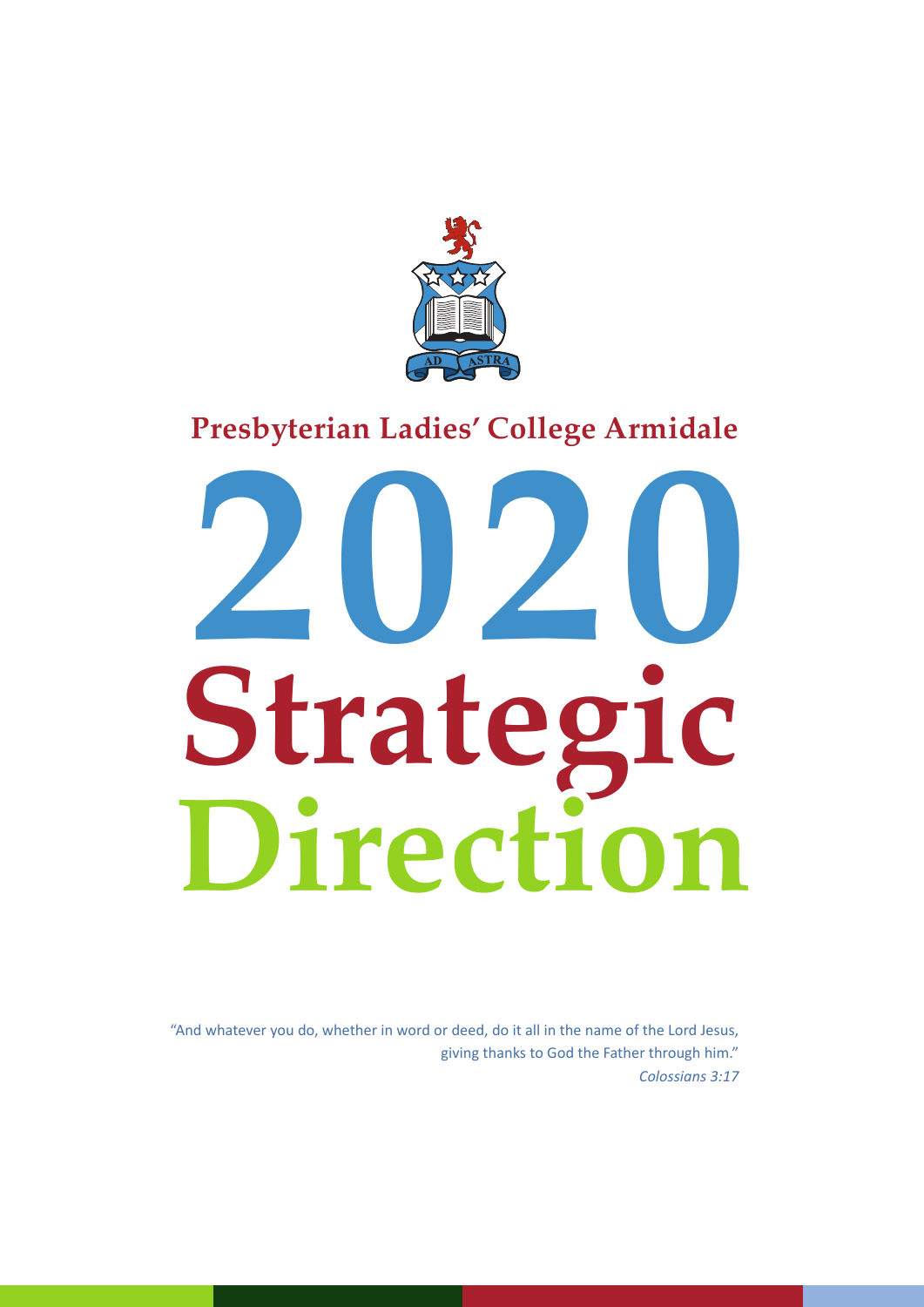

# **Presbyterian Ladies' College Armidale**

# **Strategic 2020 Direction**

"And whatever you do, whether in word or deed, do it all in the name of the Lord Jesus, giving thanks to God the Father through him." *Colossians 3:17*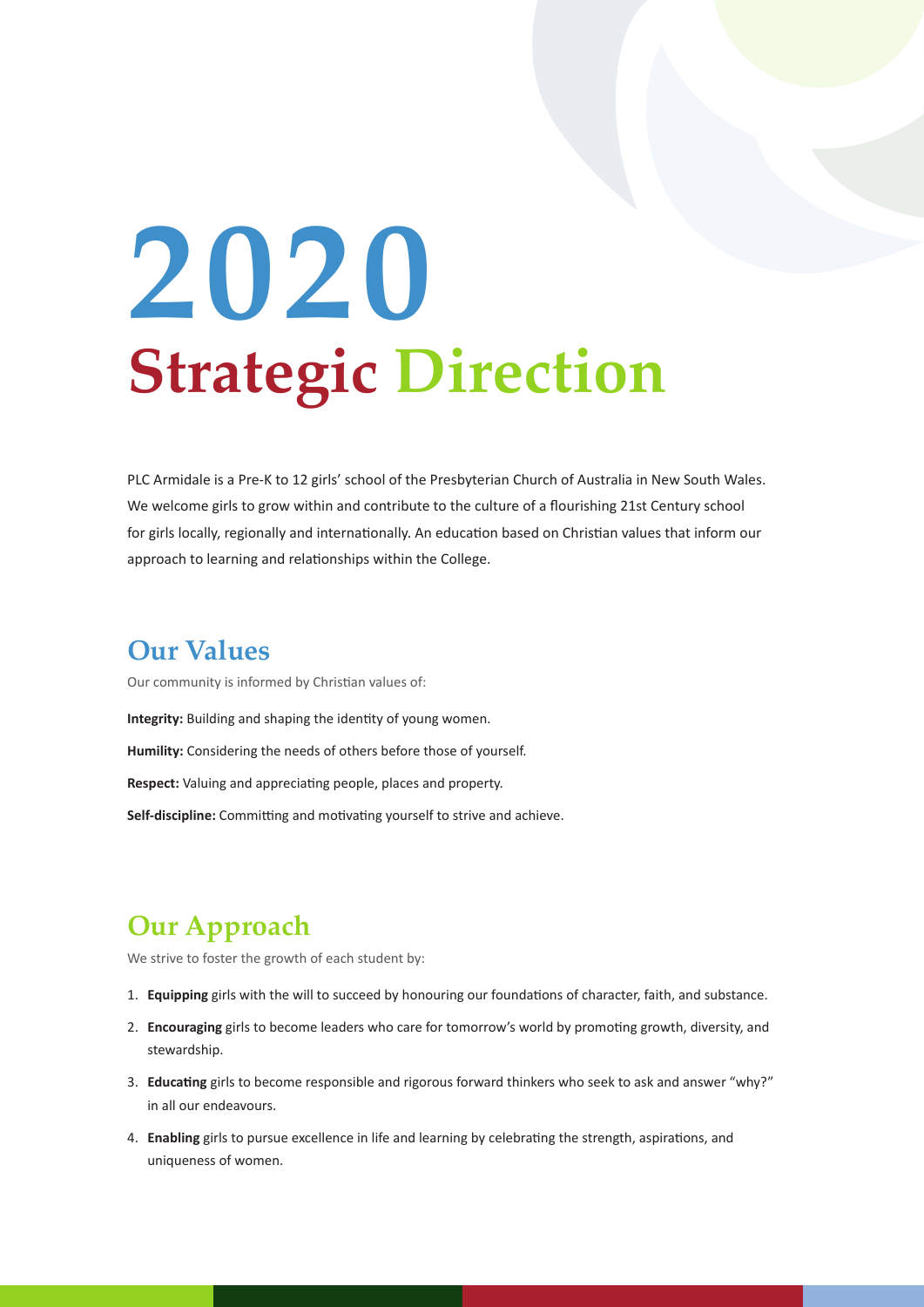# **Strategic Direction 2020**

PLC Armidale is a Pre-K to 12 girls' school of the Presbyterian Church of Australia in New South Wales. We welcome girls to grow within and contribute to the culture of a flourishing 21st Century school for girls locally, regionally and internationally. An education based on Christian values that inform our approach to learning and relationships within the College.

#### **Our Values**

Our community is informed by Christian values of: **Integrity:** Building and shaping the identity of young women. **Humility:** Considering the needs of others before those of yourself. **Respect:** Valuing and appreciating people, places and property. **Self-discipline:** Committing and motivating yourself to strive and achieve.

## **Our Approach**

We strive to foster the growth of each student by:

- 1. **Equipping** girls with the will to succeed by honouring our foundations of character, faith, and substance.
- 2. **Encouraging** girls to become leaders who care for tomorrow's world by promoting growth, diversity, and stewardship.
- 3. **Educating** girls to become responsible and rigorous forward thinkers who seek to ask and answer "why?" in all our endeavours.
- 4. **Enabling** girls to pursue excellence in life and learning by celebrating the strength, aspirations, and uniqueness of women.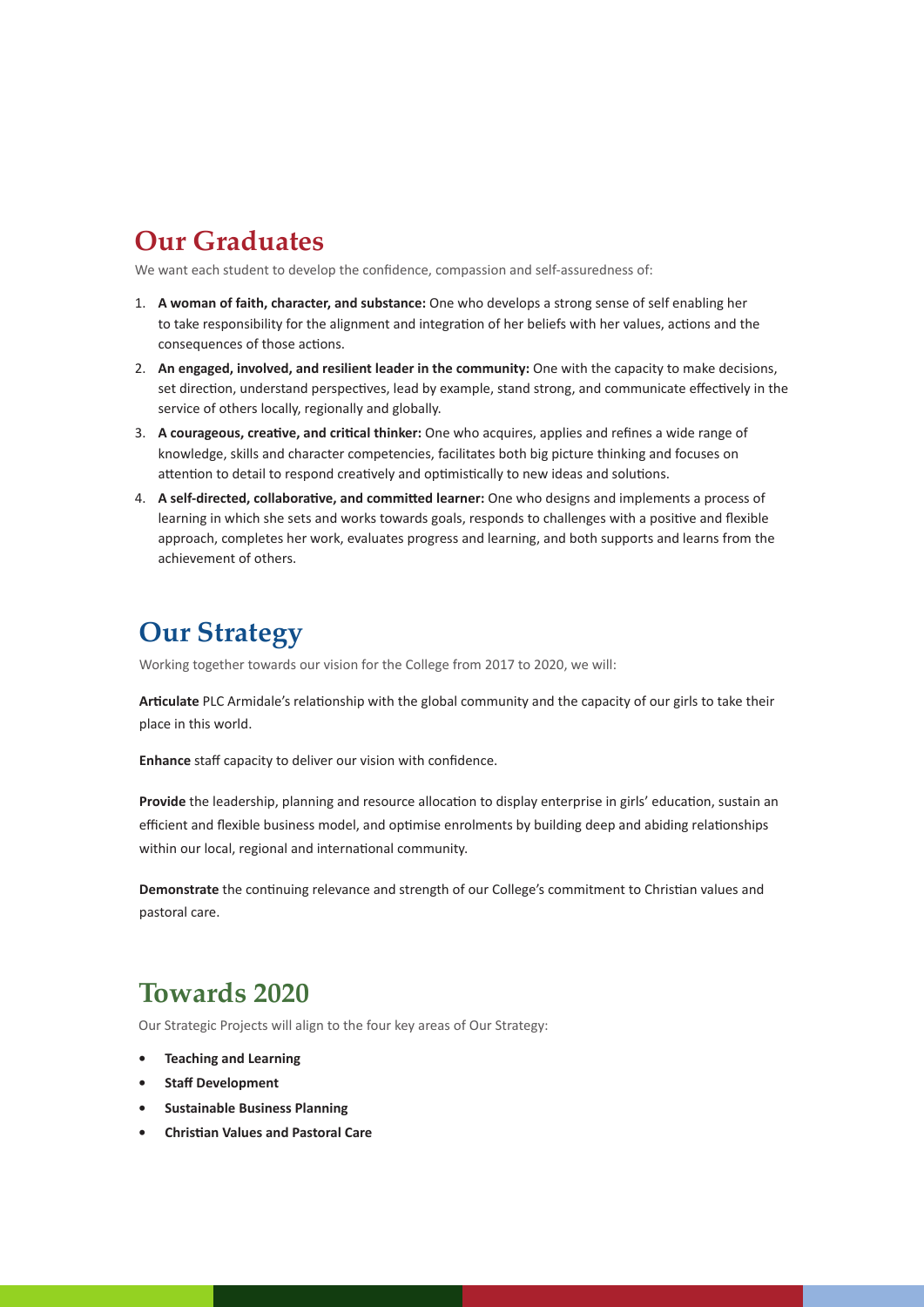### **Our Graduates**

We want each student to develop the confidence, compassion and self-assuredness of:

- 1. **A woman of faith, character, and substance:** One who develops a strong sense of self enabling her to take responsibility for the alignment and integration of her beliefs with her values, actions and the consequences of those actions.
- 2. **An engaged, involved, and resilient leader in the community:** One with the capacity to make decisions, set direction, understand perspectives, lead by example, stand strong, and communicate effectively in the service of others locally, regionally and globally.
- 3. **A courageous, creative, and critical thinker:** One who acquires, applies and refines a wide range of knowledge, skills and character competencies, facilitates both big picture thinking and focuses on attention to detail to respond creatively and optimistically to new ideas and solutions.
- 4. **A self-directed, collaborative, and committed learner:** One who designs and implements a process of learning in which she sets and works towards goals, responds to challenges with a positive and flexible approach, completes her work, evaluates progress and learning, and both supports and learns from the achievement of others.

### **Our Strategy**

Working together towards our vision for the College from 2017 to 2020, we will:

**Articulate** PLC Armidale's relationship with the global community and the capacity of our girls to take their place in this world.

**Enhance** staff capacity to deliver our vision with confidence.

**Provide** the leadership, planning and resource allocation to display enterprise in girls' education, sustain an efficient and flexible business model, and optimise enrolments by building deep and abiding relationships within our local, regional and international community.

**Demonstrate** the continuing relevance and strength of our College's commitment to Christian values and pastoral care.

#### **Towards 2020**

Our Strategic Projects will align to the four key areas of Our Strategy:

- **• Teaching and Learning**
- **• Staff Development**
- **• Sustainable Business Planning**
- **• Christian Values and Pastoral Care**